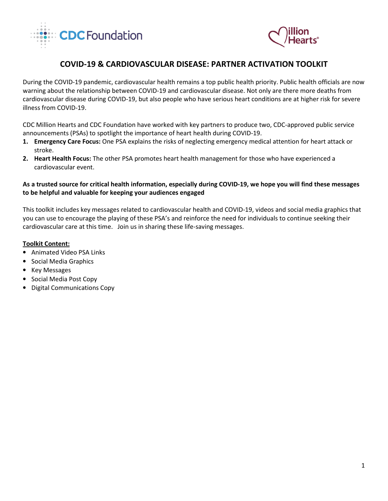



# COVID-19 & CARDIOVASCULAR DISEASE: PARTNER ACTIVATION TOOLKIT

During the COVID-19 pandemic, cardiovascular health remains a top public health priority. Public health officials are now warning about the relationship between COVID-19 and cardiovascular disease. Not only are there more deaths from cardiovascular disease during COVID-19, but also people who have serious heart conditions are at higher risk for severe illness from COVID-19.

CDC Million Hearts and CDC Foundation have worked with key partners to produce two, CDC-approved public service announcements (PSAs) to spotlight the importance of heart health during COVID-19.

- 1. Emergency Care Focus: One PSA explains the risks of neglecting emergency medical attention for heart attack or stroke.
- 2. Heart Health Focus: The other PSA promotes heart health management for those who have experienced a cardiovascular event.

## As a trusted source for critical health information, especially during COVID-19, we hope you will find these messages to be helpful and valuable for keeping your audiences engaged

This toolkit includes key messages related to cardiovascular health and COVID-19, videos and social media graphics that you can use to encourage the playing of these PSA's and reinforce the need for individuals to continue seeking their cardiovascular care at this time. Join us in sharing these life-saving messages.

### Toolkit Content:

- Animated Video PSA Links
- Social Media Graphics
- Key Messages
- Social Media Post Copy
- Digital Communications Copy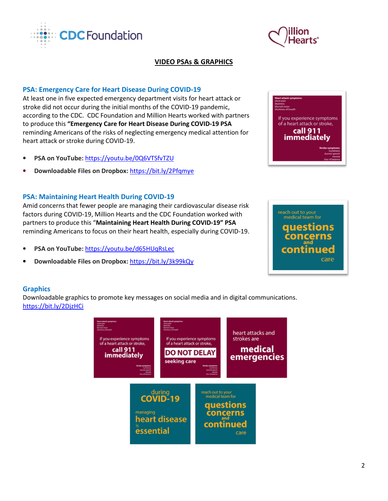At least one in five expected emergency department visits for heart attack or stroke did not occur during the initial months of the COVID-19 pandemic, according to the CDC. CDC Foundation and Million Hearts worked with partners to produce this "Emergency Care for Heart Disease During COVID-19 PSA reminding Americans of the risks of neglecting emergency medical attention for heart attack or stroke during COVID-19.

- PSA on YouTube: https://youtu.be/0Q6VTSfvTZU
- Downloadable Files on Dropbox: https://bit.ly/2Pfqmye

PSA: Emergency Care for Heart Disease During COVID-19

**CDCFoundation** 

# PSA: Maintaining Heart Health During COVID-19

Amid concerns that fewer people are managing their cardiovascular disease risk factors during COVID-19, Million Hearts and the CDC Foundation worked with partners to produce this "Maintaining Heart Health During COVID-19" PSA reminding Americans to focus on their heart health, especially during COVID-19.

- PSA on YouTube: https://youtu.be/d65HUqRsLec
- Downloadable Files on Dropbox: https://bit.ly/3k99kQy

# **Graphics**

Downloadable graphics to promote key messages on social media and in digital communications. https://bit.ly/2DjzHCi



VIDEO PSAs & GRAPHICS





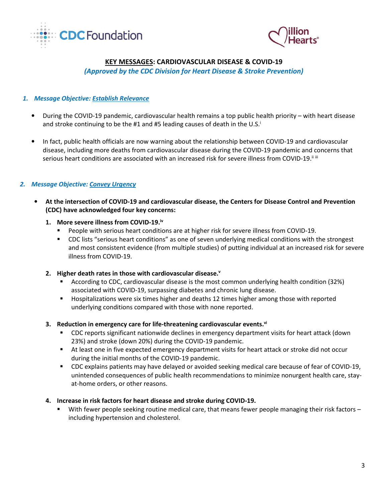



# KEY MESSAGES: CARDIOVASCULAR DISEASE & COVID-19

(Approved by the CDC Division for Heart Disease & Stroke Prevention)

## 1. Message Objective: Establish Relevance

- During the COVID-19 pandemic, cardiovascular health remains a top public health priority with heart disease and stroke continuing to be the #1 and #5 leading causes of death in the U.S. $^{\dagger}$
- In fact, public health officials are now warning about the relationship between COVID-19 and cardiovascular disease, including more deaths from cardiovascular disease during the COVID-19 pandemic and concerns that serious heart conditions are associated with an increased risk for severe illness from COVID-19.<sup>iiii</sup>

## 2. Message Objective: Convey Urgency

- At the intersection of COVID-19 and cardiovascular disease, the Centers for Disease Control and Prevention (CDC) have acknowledged four key concerns:
	- 1. More severe illness from COVID-19.<sup>iv</sup>
		- People with serious heart conditions are at higher risk for severe illness from COVID-19.
		- CDC lists "serious heart conditions" as one of seven underlying medical conditions with the strongest and most consistent evidence (from multiple studies) of putting individual at an increased risk for severe illness from COVID-19.
	- 2. Higher death rates in those with cardiovascular disease. $v$ 
		- According to CDC, cardiovascular disease is the most common underlying health condition (32%) associated with COVID-19, surpassing diabetes and chronic lung disease.
		- Hospitalizations were six times higher and deaths 12 times higher among those with reported underlying conditions compared with those with none reported.
	- 3. Reduction in emergency care for life-threatening cardiovascular events.<sup>vi</sup>
		- CDC reports significant nationwide declines in emergency department visits for heart attack (down 23%) and stroke (down 20%) during the COVID-19 pandemic.
		- At least one in five expected emergency department visits for heart attack or stroke did not occur during the initial months of the COVID-19 pandemic.
		- CDC explains patients may have delayed or avoided seeking medical care because of fear of COVID-19, unintended consequences of public health recommendations to minimize nonurgent health care, stayat-home orders, or other reasons.

### 4. Increase in risk factors for heart disease and stroke during COVID-19.

With fewer people seeking routine medical care, that means fewer people managing their risk factors – including hypertension and cholesterol.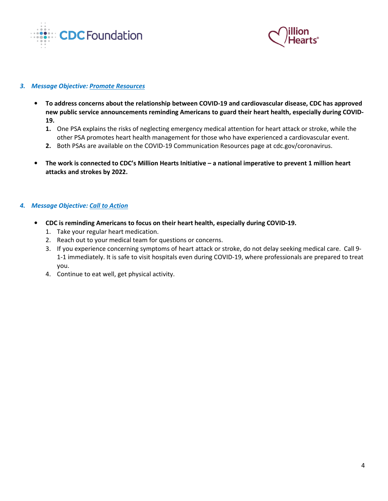



#### 3. Message Objective: Promote Resources

- To address concerns about the relationship between COVID-19 and cardiovascular disease, CDC has approved new public service announcements reminding Americans to guard their heart health, especially during COVID-19.
	- 1. One PSA explains the risks of neglecting emergency medical attention for heart attack or stroke, while the other PSA promotes heart health management for those who have experienced a cardiovascular event.
	- 2. Both PSAs are available on the COVID-19 Communication Resources page at cdc.gov/coronavirus.
- The work is connected to CDC's Million Hearts Initiative a national imperative to prevent 1 million heart attacks and strokes by 2022.

## 4. Message Objective: Call to Action

- CDC is reminding Americans to focus on their heart health, especially during COVID-19.
	- 1. Take your regular heart medication.
	- 2. Reach out to your medical team for questions or concerns.
	- 3. If you experience concerning symptoms of heart attack or stroke, do not delay seeking medical care. Call 9- 1-1 immediately. It is safe to visit hospitals even during COVID-19, where professionals are prepared to treat you.
	- 4. Continue to eat well, get physical activity.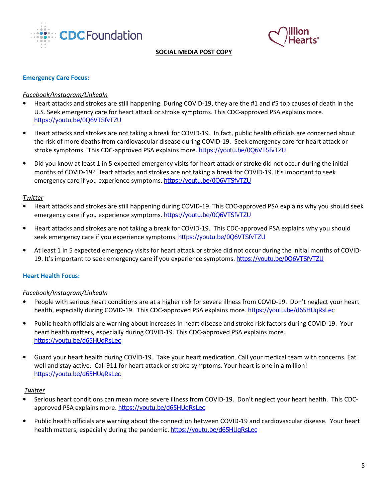



#### SOCIAL MEDIA POST COPY

#### Emergency Care Focus:

#### Facebook/Instagram/LinkedIn

- Heart attacks and strokes are still happening. During COVID-19, they are the #1 and #5 top causes of death in the U.S. Seek emergency care for heart attack or stroke symptoms. This CDC-approved PSA explains more. https://youtu.be/0Q6VTSfvTZU
- Heart attacks and strokes are not taking a break for COVID-19. In fact, public health officials are concerned about the risk of more deaths from cardiovascular disease during COVID-19. Seek emergency care for heart attack or stroke symptoms. This CDC-approved PSA explains more. https://youtu.be/0Q6VTSfvTZU
- Did you know at least 1 in 5 expected emergency visits for heart attack or stroke did not occur during the initial months of COVID-19? Heart attacks and strokes are not taking a break for COVID-19. It's important to seek emergency care if you experience symptoms. https://youtu.be/0Q6VTSfvTZU

#### Twitter

- Heart attacks and strokes are still happening during COVID-19. This CDC-approved PSA explains why you should seek emergency care if you experience symptoms. https://youtu.be/0Q6VTSfvTZU
- Heart attacks and strokes are not taking a break for COVID-19. This CDC-approved PSA explains why you should seek emergency care if you experience symptoms. https://youtu.be/0Q6VTSfvTZU
- At least 1 in 5 expected emergency visits for heart attack or stroke did not occur during the initial months of COVID-19. It's important to seek emergency care if you experience symptoms. https://youtu.be/0Q6VTSfvTZU

#### Heart Health Focus:

### Facebook/Instagram/LinkedIn

- People with serious heart conditions are at a higher risk for severe illness from COVID-19. Don't neglect your heart health, especially during COVID-19. This CDC-approved PSA explains more. https://youtu.be/d65HUqRsLec
- Public health officials are warning about increases in heart disease and stroke risk factors during COVID-19. Your heart health matters, especially during COVID-19. This CDC-approved PSA explains more. https://youtu.be/d65HUqRsLec
- Guard your heart health during COVID-19. Take your heart medication. Call your medical team with concerns. Eat well and stay active. Call 911 for heart attack or stroke symptoms. Your heart is one in a million! https://youtu.be/d65HUqRsLec

#### Twitter

- Serious heart conditions can mean more severe illness from COVID-19. Don't neglect your heart health. This CDCapproved PSA explains more. https://youtu.be/d65HUqRsLec
- Public health officials are warning about the connection between COVID-19 and cardiovascular disease. Your heart health matters, especially during the pandemic. https://youtu.be/d65HUqRsLec